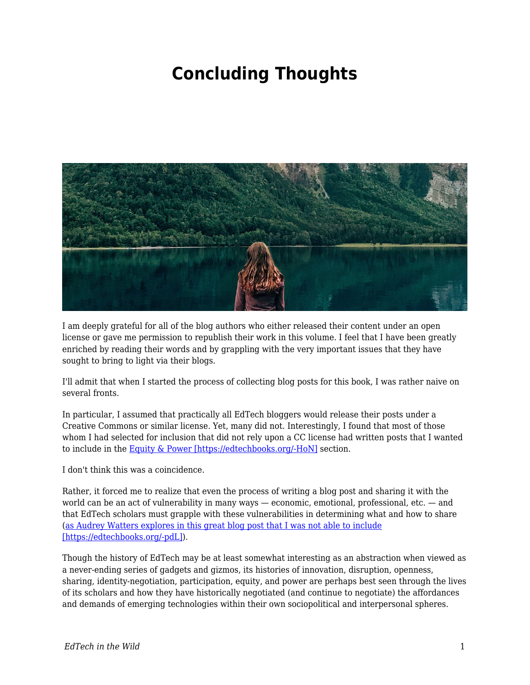## **Concluding Thoughts**



I am deeply grateful for all of the blog authors who either released their content under an open license or gave me permission to republish their work in this volume. I feel that I have been greatly enriched by reading their words and by grappling with the very important issues that they have sought to bring to light via their blogs.

I'll admit that when I started the process of collecting blog posts for this book, I was rather naive on several fronts.

In particular, I assumed that practically all EdTech bloggers would release their posts under a Creative Commons or similar license. Yet, many did not. Interestingly, I found that most of those whom I had selected for inclusion that did not rely upon a CC license had written posts that I wanted to include in the [Equity & Power \[https://edtechbooks.org/-HoN\]](https://edtechbooks.org/wild/equity_power) section.

I don't think this was a coincidence.

Rather, it forced me to realize that even the process of writing a blog post and sharing it with the world can be an act of vulnerability in many ways — economic, emotional, professional, etc. — and that EdTech scholars must grapple with these vulnerabilities in determining what and how to share ([as Audrey Watters explores in this great blog post that I was not able to include](http://hackeducation.com/2018/05/04/cuny-labor-open) [\[https://edtechbooks.org/-pdL\]\)](http://hackeducation.com/2018/05/04/cuny-labor-open).

Though the history of EdTech may be at least somewhat interesting as an abstraction when viewed as a never-ending series of gadgets and gizmos, its histories of innovation, disruption, openness, sharing, identity-negotiation, participation, equity, and power are perhaps best seen through the lives of its scholars and how they have historically negotiated (and continue to negotiate) the affordances and demands of emerging technologies within their own sociopolitical and interpersonal spheres.